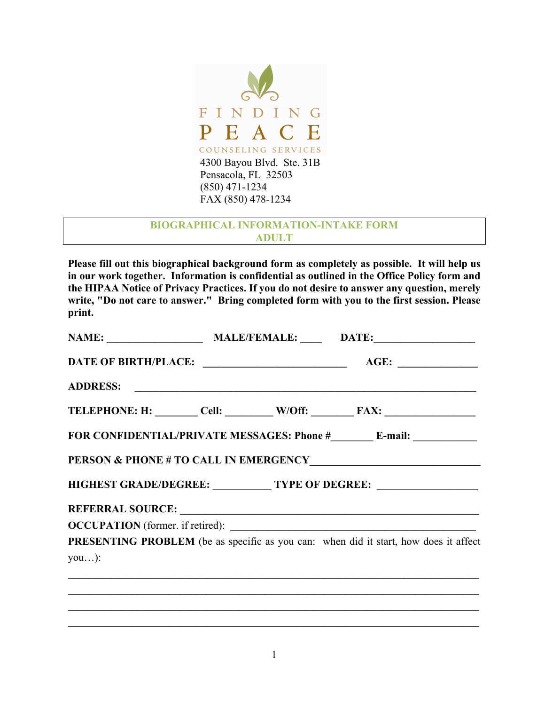

## **BIOGRAPHICAL INFORMATION-INTAKE FORM ADULT**

**Please fill out this biographical background form as completely as possible. It will help us in our work together. Information is confidential as outlined in the Office Policy form and the HIPAA Notice of Privacy Practices. If you do not desire to answer any question, merely write, "Do not care to answer." Bring completed form with you to the first session. Please print.**

| ADDRESS: |                                                                                                                      |
|----------|----------------------------------------------------------------------------------------------------------------------|
|          | TELEPHONE: H: Cell: W/Off: FAX:                                                                                      |
|          |                                                                                                                      |
|          |                                                                                                                      |
|          | HIGHEST GRADE/DEGREE: TYPE OF DEGREE:                                                                                |
|          |                                                                                                                      |
|          |                                                                                                                      |
|          | PRESENTING PROBLEM (be as specific as you can: when did it start, how does it affect                                 |
| you):    |                                                                                                                      |
|          | <u> 1990 - Jan James Sand, amerikan bernama di sebagai bernama dan bernama di sebagai bernama di sebagai bernama</u> |

**\_\_\_\_\_\_\_\_\_\_\_\_\_\_\_\_\_\_\_\_\_\_\_\_\_\_\_\_\_\_\_\_\_\_\_\_\_\_\_\_\_\_\_\_\_\_\_\_\_\_\_\_\_\_\_\_\_\_\_\_\_\_\_\_\_\_\_\_\_\_\_\_\_\_\_\_\_ \_\_\_\_\_\_\_\_\_\_\_\_\_\_\_\_\_\_\_\_\_\_\_\_\_\_\_\_\_\_\_\_\_\_\_\_\_\_\_\_\_\_\_\_\_\_\_\_\_\_\_\_\_\_\_\_\_\_\_\_\_\_\_\_\_\_\_\_\_\_\_\_\_\_\_\_\_**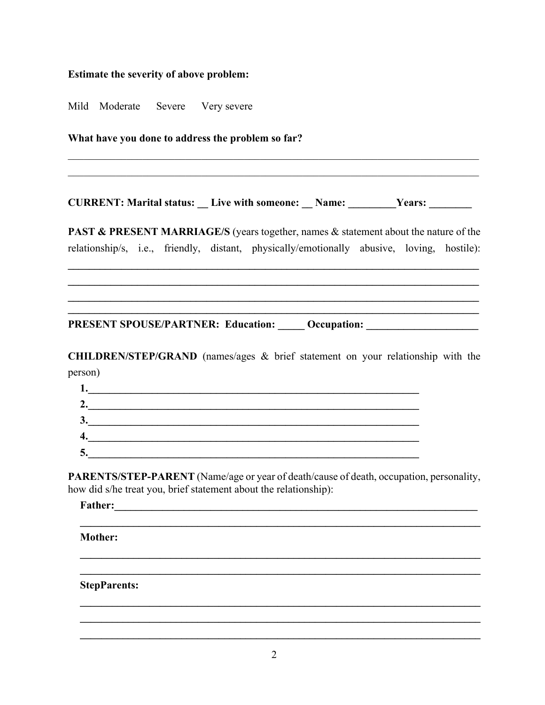|  |  |  |  |  |  | <b>Estimate the severity of above problem:</b> |
|--|--|--|--|--|--|------------------------------------------------|
|--|--|--|--|--|--|------------------------------------------------|

Mild Moderate Very severe Severe

## What have you done to address the problem so far?

**CURRENT: Marital status:** Live with someone: Name: Years:

**PAST & PRESENT MARRIAGE/S** (years together, names & statement about the nature of the relationship/s, i.e., friendly, distant, physically/emotionally abusive, loving, hostile):

PRESENT SPOUSE/PARTNER: Education: Occupation: 1997

CHILDREN/STEP/GRAND (names/ages & brief statement on your relationship with the person)

| $\sim$                                 |  |  |  |
|----------------------------------------|--|--|--|
| $\overline{\phantom{a}}$<br><u>ل ب</u> |  |  |  |
| $\sqrt{2}$<br>−.                       |  |  |  |
| J.                                     |  |  |  |

PARENTS/STEP-PARENT (Name/age or year of death/cause of death, occupation, personality, how did s/he treat you, brief statement about the relationship):

| <b>Father:</b> |  |  |  |
|----------------|--|--|--|
|                |  |  |  |
| <b>Mother:</b> |  |  |  |
|                |  |  |  |

**StepParents:**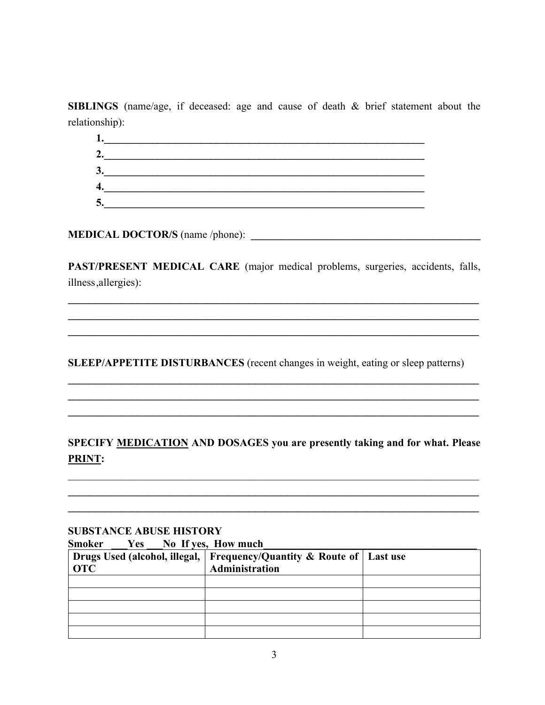SIBLINGS (name/age, if deceased: age and cause of death & brief statement about the relationship):

| 1.                                        |  |  |  |
|-------------------------------------------|--|--|--|
| $\mathbf{\hat{z}}$<br>$\epsilon_{\rm th}$ |  |  |  |
| 3.                                        |  |  |  |
| 4.                                        |  |  |  |
| ς<br>J.                                   |  |  |  |

**MEDICAL DOCTOR/S** (name /phone):

PAST/PRESENT MEDICAL CARE (major medical problems, surgeries, accidents, falls, illness, allergies):

**SLEEP/APPETITE DISTURBANCES** (recent changes in weight, eating or sleep patterns)

## SPECIFY MEDICATION AND DOSAGES you are presently taking and for what. Please **PRINT:**

## **SUBSTANCE ABUSE HISTORY**

| <b>Smoker</b><br>Yes No If yes, How much |                                                                          |  |  |  |  |  |
|------------------------------------------|--------------------------------------------------------------------------|--|--|--|--|--|
|                                          | Drugs Used (alcohol, illegal,   Frequency/Quantity & Route of   Last use |  |  |  |  |  |
| <b>OTC</b>                               | Administration                                                           |  |  |  |  |  |
|                                          |                                                                          |  |  |  |  |  |
|                                          |                                                                          |  |  |  |  |  |
|                                          |                                                                          |  |  |  |  |  |
|                                          |                                                                          |  |  |  |  |  |
|                                          |                                                                          |  |  |  |  |  |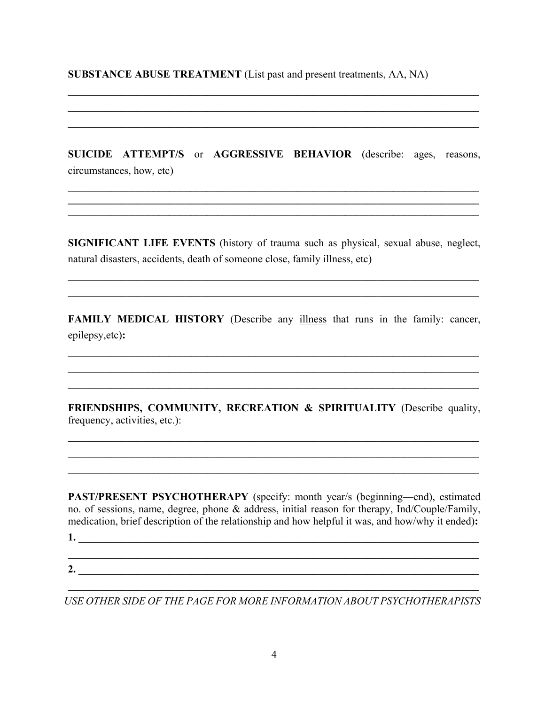**SUBSTANCE ABUSE TREATMENT** (List past and present treatments, AA, NA)

**SUICIDE ATTEMPT/S** or **AGGRESSIVE BEHAVIOR** (describe: ages, reasons, circumstances, how, etc)

**\_\_\_\_\_\_\_\_\_\_\_\_\_\_\_\_\_\_\_\_\_\_\_\_\_\_\_\_\_\_\_\_\_\_\_\_\_\_\_\_\_\_\_\_\_\_\_\_\_\_\_\_\_\_\_\_\_\_\_\_\_\_\_\_\_\_\_\_\_\_\_\_\_\_\_\_\_ \_\_\_\_\_\_\_\_\_\_\_\_\_\_\_\_\_\_\_\_\_\_\_\_\_\_\_\_\_\_\_\_\_\_\_\_\_\_\_\_\_\_\_\_\_\_\_\_\_\_\_\_\_\_\_\_\_\_\_\_\_\_\_\_\_\_\_\_\_\_\_\_\_\_\_\_\_ \_\_\_\_\_\_\_\_\_\_\_\_\_\_\_\_\_\_\_\_\_\_\_\_\_\_\_\_\_\_\_\_\_\_\_\_\_\_\_\_\_\_\_\_\_\_\_\_\_\_\_\_\_\_\_\_\_\_\_\_\_\_\_\_\_\_\_\_\_\_\_\_\_\_\_\_\_**

**\_\_\_\_\_\_\_\_\_\_\_\_\_\_\_\_\_\_\_\_\_\_\_\_\_\_\_\_\_\_\_\_\_\_\_\_\_\_\_\_\_\_\_\_\_\_\_\_\_\_\_\_\_\_\_\_\_\_\_\_\_\_\_\_\_\_\_\_\_\_\_\_\_\_\_\_\_ \_\_\_\_\_\_\_\_\_\_\_\_\_\_\_\_\_\_\_\_\_\_\_\_\_\_\_\_\_\_\_\_\_\_\_\_\_\_\_\_\_\_\_\_\_\_\_\_\_\_\_\_\_\_\_\_\_\_\_\_\_\_\_\_\_\_\_\_\_\_\_\_\_\_\_\_\_ \_\_\_\_\_\_\_\_\_\_\_\_\_\_\_\_\_\_\_\_\_\_\_\_\_\_\_\_\_\_\_\_\_\_\_\_\_\_\_\_\_\_\_\_\_\_\_\_\_\_\_\_\_\_\_\_\_\_\_\_\_\_\_\_\_\_\_\_\_\_\_\_\_\_\_\_\_**

**SIGNIFICANT LIFE EVENTS** (history of trauma such as physical, sexual abuse, neglect, natural disasters, accidents, death of someone close, family illness, etc)

FAMILY MEDICAL HISTORY (Describe any *illness* that runs in the family: cancer, epilepsy,etc)**:** 

**\_\_\_\_\_\_\_\_\_\_\_\_\_\_\_\_\_\_\_\_\_\_\_\_\_\_\_\_\_\_\_\_\_\_\_\_\_\_\_\_\_\_\_\_\_\_\_\_\_\_\_\_\_\_\_\_\_\_\_\_\_\_\_\_\_\_\_\_\_\_\_\_\_\_\_\_\_ \_\_\_\_\_\_\_\_\_\_\_\_\_\_\_\_\_\_\_\_\_\_\_\_\_\_\_\_\_\_\_\_\_\_\_\_\_\_\_\_\_\_\_\_\_\_\_\_\_\_\_\_\_\_\_\_\_\_\_\_\_\_\_\_\_\_\_\_\_\_\_\_\_\_\_\_\_ \_\_\_\_\_\_\_\_\_\_\_\_\_\_\_\_\_\_\_\_\_\_\_\_\_\_\_\_\_\_\_\_\_\_\_\_\_\_\_\_\_\_\_\_\_\_\_\_\_\_\_\_\_\_\_\_\_\_\_\_\_\_\_\_\_\_\_\_\_\_\_\_\_\_\_\_\_**

FRIENDSHIPS, COMMUNITY, RECREATION & SPIRITUALITY (Describe quality, frequency, activities, etc.):

**\_\_\_\_\_\_\_\_\_\_\_\_\_\_\_\_\_\_\_\_\_\_\_\_\_\_\_\_\_\_\_\_\_\_\_\_\_\_\_\_\_\_\_\_\_\_\_\_\_\_\_\_\_\_\_\_\_\_\_\_\_\_\_\_\_\_\_\_\_\_\_\_\_\_\_\_\_ \_\_\_\_\_\_\_\_\_\_\_\_\_\_\_\_\_\_\_\_\_\_\_\_\_\_\_\_\_\_\_\_\_\_\_\_\_\_\_\_\_\_\_\_\_\_\_\_\_\_\_\_\_\_\_\_\_\_\_\_\_\_\_\_\_\_\_\_\_\_\_\_\_\_\_\_\_ \_\_\_\_\_\_\_\_\_\_\_\_\_\_\_\_\_\_\_\_\_\_\_\_\_\_\_\_\_\_\_\_\_\_\_\_\_\_\_\_\_\_\_\_\_\_\_\_\_\_\_\_\_\_\_\_\_\_\_\_\_\_\_\_\_\_\_\_\_\_\_\_\_\_\_\_\_**

PAST/PRESENT PSYCHOTHERAPY (specify: month year/s (beginning—end), estimated no. of sessions, name, degree, phone & address, initial reason for therapy, Ind/Couple/Family, medication, brief description of the relationship and how helpful it was, and how/why it ended)**:**

- **1. \_\_\_\_\_\_\_\_\_\_\_\_\_\_\_\_\_\_\_\_\_\_\_\_\_\_\_\_\_\_\_\_\_\_\_\_\_\_\_\_\_\_\_\_\_\_\_\_\_\_\_\_\_\_\_\_\_\_\_\_\_\_\_\_\_\_\_\_\_\_\_\_\_\_\_**
- **2. \_\_\_\_\_\_\_\_\_\_\_\_\_\_\_\_\_\_\_\_\_\_\_\_\_\_\_\_\_\_\_\_\_\_\_\_\_\_\_\_\_\_\_\_\_\_\_\_\_\_\_\_\_\_\_\_\_\_\_\_\_\_\_\_\_\_\_\_\_\_\_\_\_\_\_**

**\_\_\_\_\_\_\_\_\_\_\_\_\_\_\_\_\_\_\_\_\_\_\_\_\_\_\_\_\_\_\_\_\_\_\_\_\_\_\_\_\_\_\_\_\_\_\_\_\_\_\_\_\_\_\_\_\_\_\_\_\_\_\_\_\_\_\_\_\_\_\_\_\_\_\_\_\_** *USE OTHER SIDE OF THE PAGE FOR MORE INFORMATION ABOUT PSYCHOTHERAPISTS*

**\_\_\_\_\_\_\_\_\_\_\_\_\_\_\_\_\_\_\_\_\_\_\_\_\_\_\_\_\_\_\_\_\_\_\_\_\_\_\_\_\_\_\_\_\_\_\_\_\_\_\_\_\_\_\_\_\_\_\_\_\_\_\_\_\_\_\_\_\_\_\_\_\_\_\_\_\_**